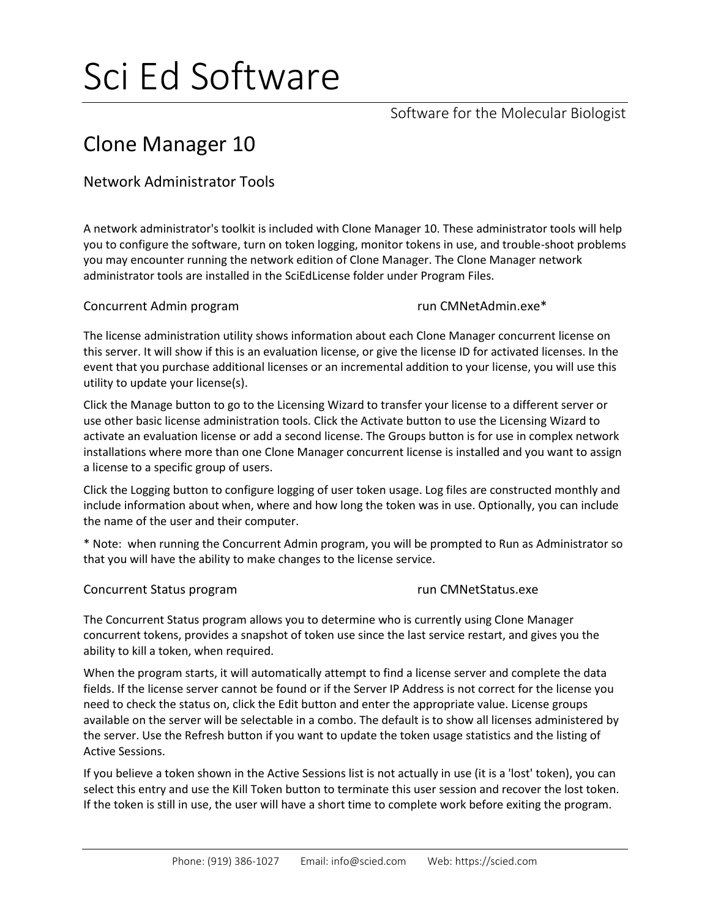# Sci Ed Software

Software for the Molecular Biologist

## Clone Manager 10

### Network Administrator Tools

A network administrator's toolkit is included with Clone Manager 10. These administrator tools will help you to configure the software, turn on token logging, monitor tokens in use, and trouble-shoot problems you may encounter running the network edition of Clone Manager. The Clone Manager network administrator tools are installed in the SciEdLicense folder under Program Files.

Concurrent Admin program and the concurrent Admin program run CMNetAdmin.exe\*

The license administration utility shows information about each Clone Manager concurrent license on this server. It will show if this is an evaluation license, or give the license ID for activated licenses. In the event that you purchase additional licenses or an incremental addition to your license, you will use this utility to update your license(s).

Click the Manage button to go to the Licensing Wizard to transfer your license to a different server or use other basic license administration tools. Click the Activate button to use the Licensing Wizard to activate an evaluation license or add a second license. The Groups button is for use in complex network installations where more than one Clone Manager concurrent license is installed and you want to assign a license to a specific group of users.

Click the Logging button to configure logging of user token usage. Log files are constructed monthly and include information about when, where and how long the token was in use. Optionally, you can include the name of the user and their computer.

\* Note: when running the Concurrent Admin program, you will be prompted to Run as Administrator so that you will have the ability to make changes to the license service.

### Concurrent Status program and the concurrent Status program run CMNetStatus.exe

The Concurrent Status program allows you to determine who is currently using Clone Manager concurrent tokens, provides a snapshot of token use since the last service restart, and gives you the ability to kill a token, when required.

When the program starts, it will automatically attempt to find a license server and complete the data fields. If the license server cannot be found or if the Server IP Address is not correct for the license you need to check the status on, click the Edit button and enter the appropriate value. License groups available on the server will be selectable in a combo. The default is to show all licenses administered by the server. Use the Refresh button if you want to update the token usage statistics and the listing of Active Sessions.

If you believe a token shown in the Active Sessions list is not actually in use (it is a 'lost' token), you can select this entry and use the Kill Token button to terminate this user session and recover the lost token. If the token is still in use, the user will have a short time to complete work before exiting the program.